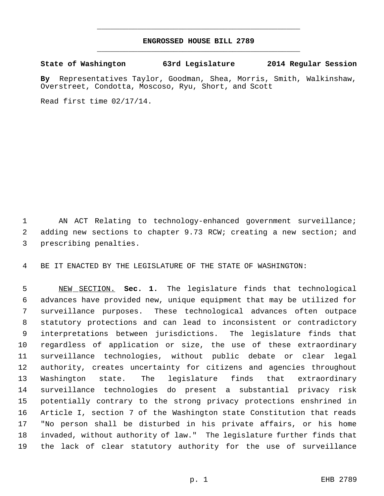## **ENGROSSED HOUSE BILL 2789** \_\_\_\_\_\_\_\_\_\_\_\_\_\_\_\_\_\_\_\_\_\_\_\_\_\_\_\_\_\_\_\_\_\_\_\_\_\_\_\_\_\_\_\_\_

\_\_\_\_\_\_\_\_\_\_\_\_\_\_\_\_\_\_\_\_\_\_\_\_\_\_\_\_\_\_\_\_\_\_\_\_\_\_\_\_\_\_\_\_\_

**State of Washington 63rd Legislature 2014 Regular Session**

**By** Representatives Taylor, Goodman, Shea, Morris, Smith, Walkinshaw, Overstreet, Condotta, Moscoso, Ryu, Short, and Scott

Read first time 02/17/14.

 AN ACT Relating to technology-enhanced government surveillance; adding new sections to chapter 9.73 RCW; creating a new section; and prescribing penalties.

BE IT ENACTED BY THE LEGISLATURE OF THE STATE OF WASHINGTON:

 NEW SECTION. **Sec. 1.** The legislature finds that technological advances have provided new, unique equipment that may be utilized for surveillance purposes. These technological advances often outpace statutory protections and can lead to inconsistent or contradictory interpretations between jurisdictions. The legislature finds that regardless of application or size, the use of these extraordinary surveillance technologies, without public debate or clear legal authority, creates uncertainty for citizens and agencies throughout Washington state. The legislature finds that extraordinary surveillance technologies do present a substantial privacy risk potentially contrary to the strong privacy protections enshrined in Article I, section 7 of the Washington state Constitution that reads "No person shall be disturbed in his private affairs, or his home invaded, without authority of law." The legislature further finds that the lack of clear statutory authority for the use of surveillance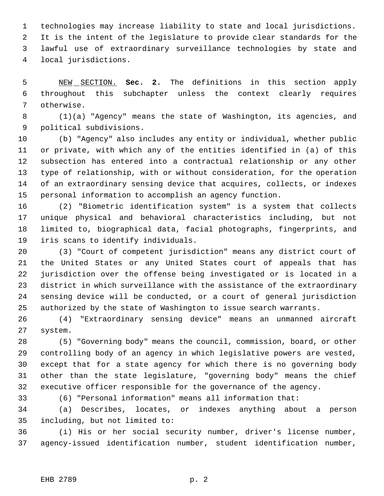technologies may increase liability to state and local jurisdictions. It is the intent of the legislature to provide clear standards for the lawful use of extraordinary surveillance technologies by state and local jurisdictions.

 NEW SECTION. **Sec. 2.** The definitions in this section apply throughout this subchapter unless the context clearly requires otherwise.

 (1)(a) "Agency" means the state of Washington, its agencies, and political subdivisions.

 (b) "Agency" also includes any entity or individual, whether public or private, with which any of the entities identified in (a) of this subsection has entered into a contractual relationship or any other type of relationship, with or without consideration, for the operation of an extraordinary sensing device that acquires, collects, or indexes personal information to accomplish an agency function.

 (2) "Biometric identification system" is a system that collects unique physical and behavioral characteristics including, but not limited to, biographical data, facial photographs, fingerprints, and iris scans to identify individuals.

 (3) "Court of competent jurisdiction" means any district court of the United States or any United States court of appeals that has jurisdiction over the offense being investigated or is located in a district in which surveillance with the assistance of the extraordinary sensing device will be conducted, or a court of general jurisdiction authorized by the state of Washington to issue search warrants.

 (4) "Extraordinary sensing device" means an unmanned aircraft system.

 (5) "Governing body" means the council, commission, board, or other controlling body of an agency in which legislative powers are vested, except that for a state agency for which there is no governing body other than the state legislature, "governing body" means the chief executive officer responsible for the governance of the agency.

(6) "Personal information" means all information that:

 (a) Describes, locates, or indexes anything about a person including, but not limited to:

 (i) His or her social security number, driver's license number, agency-issued identification number, student identification number,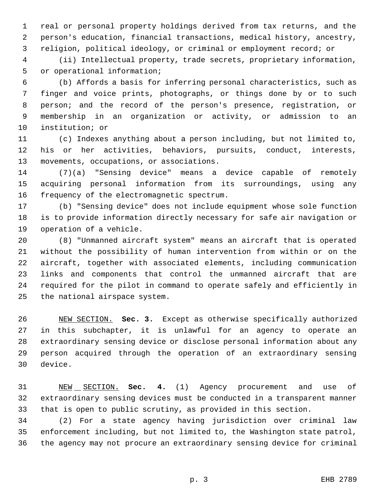real or personal property holdings derived from tax returns, and the person's education, financial transactions, medical history, ancestry, religion, political ideology, or criminal or employment record; or

 (ii) Intellectual property, trade secrets, proprietary information, or operational information;

 (b) Affords a basis for inferring personal characteristics, such as finger and voice prints, photographs, or things done by or to such person; and the record of the person's presence, registration, or membership in an organization or activity, or admission to an institution; or

 (c) Indexes anything about a person including, but not limited to, his or her activities, behaviors, pursuits, conduct, interests, movements, occupations, or associations.

 (7)(a) "Sensing device" means a device capable of remotely acquiring personal information from its surroundings, using any frequency of the electromagnetic spectrum.

 (b) "Sensing device" does not include equipment whose sole function is to provide information directly necessary for safe air navigation or operation of a vehicle.

 (8) "Unmanned aircraft system" means an aircraft that is operated without the possibility of human intervention from within or on the aircraft, together with associated elements, including communication links and components that control the unmanned aircraft that are required for the pilot in command to operate safely and efficiently in the national airspace system.

 NEW SECTION. **Sec. 3.** Except as otherwise specifically authorized in this subchapter, it is unlawful for an agency to operate an extraordinary sensing device or disclose personal information about any person acquired through the operation of an extraordinary sensing device.

 NEW SECTION. **Sec. 4.** (1) Agency procurement and use of extraordinary sensing devices must be conducted in a transparent manner that is open to public scrutiny, as provided in this section.

 (2) For a state agency having jurisdiction over criminal law enforcement including, but not limited to, the Washington state patrol, the agency may not procure an extraordinary sensing device for criminal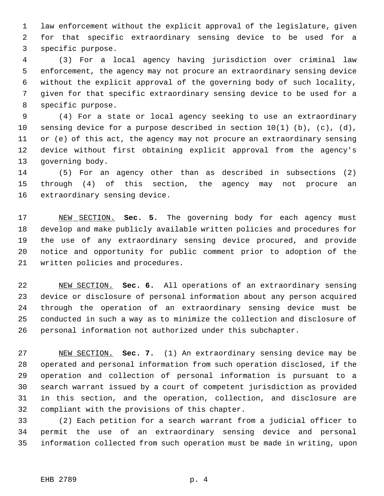law enforcement without the explicit approval of the legislature, given for that specific extraordinary sensing device to be used for a specific purpose.

 (3) For a local agency having jurisdiction over criminal law enforcement, the agency may not procure an extraordinary sensing device without the explicit approval of the governing body of such locality, given for that specific extraordinary sensing device to be used for a specific purpose.

 (4) For a state or local agency seeking to use an extraordinary 10 sensing device for a purpose described in section  $10(1)$  (b), (c), (d), or (e) of this act, the agency may not procure an extraordinary sensing device without first obtaining explicit approval from the agency's governing body.

 (5) For an agency other than as described in subsections (2) through (4) of this section, the agency may not procure an extraordinary sensing device.

 NEW SECTION. **Sec. 5.** The governing body for each agency must develop and make publicly available written policies and procedures for the use of any extraordinary sensing device procured, and provide notice and opportunity for public comment prior to adoption of the written policies and procedures.

 NEW SECTION. **Sec. 6.** All operations of an extraordinary sensing device or disclosure of personal information about any person acquired through the operation of an extraordinary sensing device must be conducted in such a way as to minimize the collection and disclosure of personal information not authorized under this subchapter.

 NEW SECTION. **Sec. 7.** (1) An extraordinary sensing device may be operated and personal information from such operation disclosed, if the operation and collection of personal information is pursuant to a search warrant issued by a court of competent jurisdiction as provided in this section, and the operation, collection, and disclosure are compliant with the provisions of this chapter.

 (2) Each petition for a search warrant from a judicial officer to permit the use of an extraordinary sensing device and personal information collected from such operation must be made in writing, upon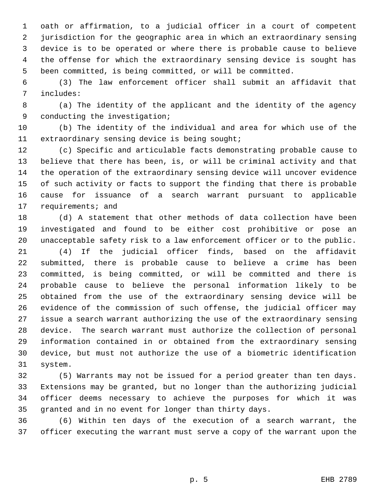oath or affirmation, to a judicial officer in a court of competent jurisdiction for the geographic area in which an extraordinary sensing device is to be operated or where there is probable cause to believe the offense for which the extraordinary sensing device is sought has been committed, is being committed, or will be committed.

 (3) The law enforcement officer shall submit an affidavit that includes:

 (a) The identity of the applicant and the identity of the agency conducting the investigation;

 (b) The identity of the individual and area for which use of the extraordinary sensing device is being sought;

 (c) Specific and articulable facts demonstrating probable cause to believe that there has been, is, or will be criminal activity and that the operation of the extraordinary sensing device will uncover evidence of such activity or facts to support the finding that there is probable cause for issuance of a search warrant pursuant to applicable 17 requirements; and

 (d) A statement that other methods of data collection have been investigated and found to be either cost prohibitive or pose an unacceptable safety risk to a law enforcement officer or to the public.

 (4) If the judicial officer finds, based on the affidavit submitted, there is probable cause to believe a crime has been committed, is being committed, or will be committed and there is probable cause to believe the personal information likely to be obtained from the use of the extraordinary sensing device will be evidence of the commission of such offense, the judicial officer may issue a search warrant authorizing the use of the extraordinary sensing device. The search warrant must authorize the collection of personal information contained in or obtained from the extraordinary sensing device, but must not authorize the use of a biometric identification system.

 (5) Warrants may not be issued for a period greater than ten days. Extensions may be granted, but no longer than the authorizing judicial officer deems necessary to achieve the purposes for which it was granted and in no event for longer than thirty days.

 (6) Within ten days of the execution of a search warrant, the officer executing the warrant must serve a copy of the warrant upon the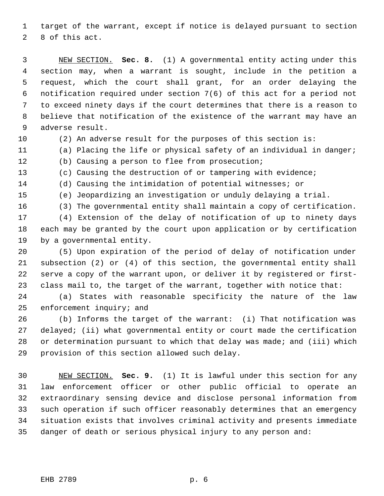target of the warrant, except if notice is delayed pursuant to section 8 of this act.

 NEW SECTION. **Sec. 8.** (1) A governmental entity acting under this section may, when a warrant is sought, include in the petition a request, which the court shall grant, for an order delaying the notification required under section 7(6) of this act for a period not to exceed ninety days if the court determines that there is a reason to believe that notification of the existence of the warrant may have an adverse result.

(2) An adverse result for the purposes of this section is:

(a) Placing the life or physical safety of an individual in danger;

(b) Causing a person to flee from prosecution;

(c) Causing the destruction of or tampering with evidence;

- (d) Causing the intimidation of potential witnesses; or
- (e) Jeopardizing an investigation or unduly delaying a trial.
- 

(3) The governmental entity shall maintain a copy of certification.

 (4) Extension of the delay of notification of up to ninety days each may be granted by the court upon application or by certification by a governmental entity.

 (5) Upon expiration of the period of delay of notification under subsection (2) or (4) of this section, the governmental entity shall serve a copy of the warrant upon, or deliver it by registered or first-class mail to, the target of the warrant, together with notice that:

 (a) States with reasonable specificity the nature of the law enforcement inquiry; and

 (b) Informs the target of the warrant: (i) That notification was delayed; (ii) what governmental entity or court made the certification or determination pursuant to which that delay was made; and (iii) which provision of this section allowed such delay.

 NEW SECTION. **Sec. 9.** (1) It is lawful under this section for any law enforcement officer or other public official to operate an extraordinary sensing device and disclose personal information from such operation if such officer reasonably determines that an emergency situation exists that involves criminal activity and presents immediate danger of death or serious physical injury to any person and: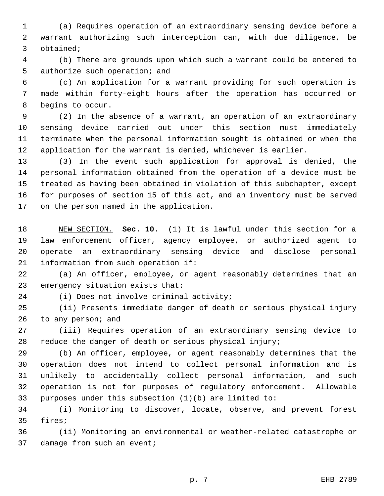(a) Requires operation of an extraordinary sensing device before a warrant authorizing such interception can, with due diligence, be obtained;

 (b) There are grounds upon which such a warrant could be entered to authorize such operation; and

 (c) An application for a warrant providing for such operation is made within forty-eight hours after the operation has occurred or begins to occur.

 (2) In the absence of a warrant, an operation of an extraordinary sensing device carried out under this section must immediately terminate when the personal information sought is obtained or when the application for the warrant is denied, whichever is earlier.

 (3) In the event such application for approval is denied, the personal information obtained from the operation of a device must be treated as having been obtained in violation of this subchapter, except for purposes of section 15 of this act, and an inventory must be served on the person named in the application.

 NEW SECTION. **Sec. 10.** (1) It is lawful under this section for a law enforcement officer, agency employee, or authorized agent to operate an extraordinary sensing device and disclose personal information from such operation if:

 (a) An officer, employee, or agent reasonably determines that an emergency situation exists that:

(i) Does not involve criminal activity;

 (ii) Presents immediate danger of death or serious physical injury to any person; and

 (iii) Requires operation of an extraordinary sensing device to reduce the danger of death or serious physical injury;

 (b) An officer, employee, or agent reasonably determines that the operation does not intend to collect personal information and is unlikely to accidentally collect personal information, and such operation is not for purposes of regulatory enforcement. Allowable purposes under this subsection (1)(b) are limited to:

 (i) Monitoring to discover, locate, observe, and prevent forest fires;

 (ii) Monitoring an environmental or weather-related catastrophe or 37 damage from such an event;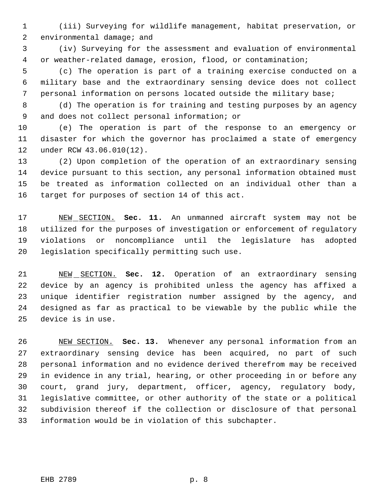(iii) Surveying for wildlife management, habitat preservation, or environmental damage; and

 (iv) Surveying for the assessment and evaluation of environmental or weather-related damage, erosion, flood, or contamination;

 (c) The operation is part of a training exercise conducted on a military base and the extraordinary sensing device does not collect personal information on persons located outside the military base;

 (d) The operation is for training and testing purposes by an agency and does not collect personal information; or

 (e) The operation is part of the response to an emergency or disaster for which the governor has proclaimed a state of emergency under RCW 43.06.010(12).

 (2) Upon completion of the operation of an extraordinary sensing device pursuant to this section, any personal information obtained must be treated as information collected on an individual other than a target for purposes of section 14 of this act.

 NEW SECTION. **Sec. 11.** An unmanned aircraft system may not be utilized for the purposes of investigation or enforcement of regulatory violations or noncompliance until the legislature has adopted legislation specifically permitting such use.

 NEW SECTION. **Sec. 12.** Operation of an extraordinary sensing device by an agency is prohibited unless the agency has affixed a unique identifier registration number assigned by the agency, and designed as far as practical to be viewable by the public while the device is in use.

 NEW SECTION. **Sec. 13.** Whenever any personal information from an extraordinary sensing device has been acquired, no part of such personal information and no evidence derived therefrom may be received in evidence in any trial, hearing, or other proceeding in or before any court, grand jury, department, officer, agency, regulatory body, legislative committee, or other authority of the state or a political subdivision thereof if the collection or disclosure of that personal information would be in violation of this subchapter.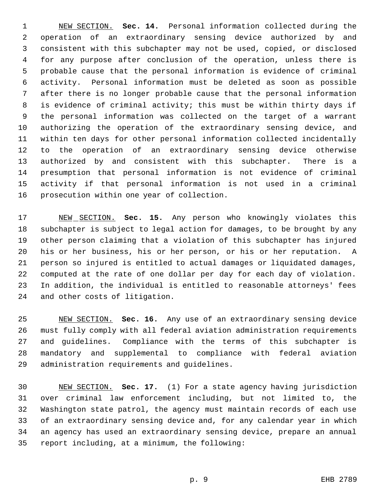NEW SECTION. **Sec. 14.** Personal information collected during the operation of an extraordinary sensing device authorized by and consistent with this subchapter may not be used, copied, or disclosed for any purpose after conclusion of the operation, unless there is probable cause that the personal information is evidence of criminal activity. Personal information must be deleted as soon as possible after there is no longer probable cause that the personal information is evidence of criminal activity; this must be within thirty days if the personal information was collected on the target of a warrant authorizing the operation of the extraordinary sensing device, and within ten days for other personal information collected incidentally to the operation of an extraordinary sensing device otherwise authorized by and consistent with this subchapter. There is a presumption that personal information is not evidence of criminal activity if that personal information is not used in a criminal prosecution within one year of collection.

 NEW SECTION. **Sec. 15.** Any person who knowingly violates this subchapter is subject to legal action for damages, to be brought by any other person claiming that a violation of this subchapter has injured his or her business, his or her person, or his or her reputation. A person so injured is entitled to actual damages or liquidated damages, computed at the rate of one dollar per day for each day of violation. In addition, the individual is entitled to reasonable attorneys' fees and other costs of litigation.

 NEW SECTION. **Sec. 16.** Any use of an extraordinary sensing device must fully comply with all federal aviation administration requirements and guidelines. Compliance with the terms of this subchapter is mandatory and supplemental to compliance with federal aviation administration requirements and guidelines.

 NEW SECTION. **Sec. 17.** (1) For a state agency having jurisdiction over criminal law enforcement including, but not limited to, the Washington state patrol, the agency must maintain records of each use of an extraordinary sensing device and, for any calendar year in which an agency has used an extraordinary sensing device, prepare an annual report including, at a minimum, the following: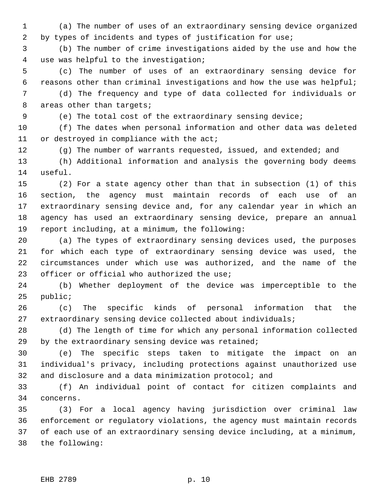(a) The number of uses of an extraordinary sensing device organized 2 by types of incidents and types of justification for use;

 (b) The number of crime investigations aided by the use and how the use was helpful to the investigation;

 (c) The number of uses of an extraordinary sensing device for reasons other than criminal investigations and how the use was helpful;

 (d) The frequency and type of data collected for individuals or 8 areas other than targets;

(e) The total cost of the extraordinary sensing device;

 (f) The dates when personal information and other data was deleted 11 or destroyed in compliance with the act;

12 (g) The number of warrants requested, issued, and extended; and

 (h) Additional information and analysis the governing body deems useful.

 (2) For a state agency other than that in subsection (1) of this section, the agency must maintain records of each use of an extraordinary sensing device and, for any calendar year in which an agency has used an extraordinary sensing device, prepare an annual report including, at a minimum, the following:

 (a) The types of extraordinary sensing devices used, the purposes for which each type of extraordinary sensing device was used, the circumstances under which use was authorized, and the name of the 23 officer or official who authorized the use;

 (b) Whether deployment of the device was imperceptible to the public;

 (c) The specific kinds of personal information that the extraordinary sensing device collected about individuals;

 (d) The length of time for which any personal information collected by the extraordinary sensing device was retained;

 (e) The specific steps taken to mitigate the impact on an individual's privacy, including protections against unauthorized use and disclosure and a data minimization protocol; and

 (f) An individual point of contact for citizen complaints and concerns.

 (3) For a local agency having jurisdiction over criminal law enforcement or regulatory violations, the agency must maintain records of each use of an extraordinary sensing device including, at a minimum, the following: